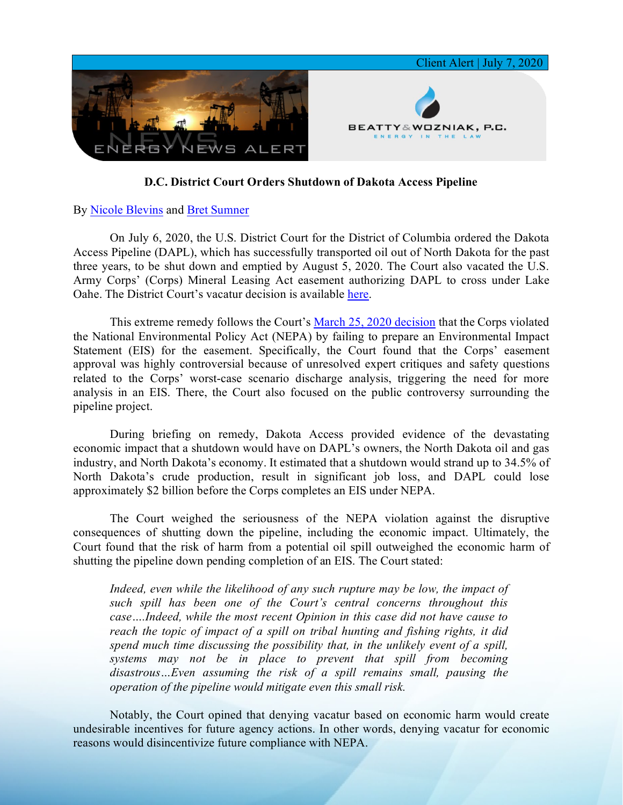

## **D.C. District Court Orders Shutdown of Dakota Access Pipeline**

## By [Nicole Blevins](https://www.bwenergylaw.com/nicole-blevins) and [Bret Sumner](https://www.bwenergylaw.com/bret-sumner)

On July 6, 2020, the U.S. District Court for the District of Columbia ordered the Dakota Access Pipeline (DAPL), which has successfully transported oil out of North Dakota for the past three years, to be shut down and emptied by August 5, 2020. The Court also vacated the U.S. Army Corps' (Corps) Mineral Leasing Act easement authorizing DAPL to cross under Lake Oahe. The District Court's vacatur decision is available [here.](https://7786d557-4329-4d99-be6b-ee891e97ad6a.filesusr.com/ugd/368105_2d01660e936747ad9d0aee3110ae4cab.pdf)

This extreme remedy follows the Court's [March 25, 2020 decision](https://7786d557-4329-4d99-be6b-ee891e97ad6a.filesusr.com/ugd/368105_05eb82dcd2bc496b91234d66e9417b8f.pdf) that the Corps violated the National Environmental Policy Act (NEPA) by failing to prepare an Environmental Impact Statement (EIS) for the easement. Specifically, the Court found that the Corps' easement approval was highly controversial because of unresolved expert critiques and safety questions related to the Corps' worst-case scenario discharge analysis, triggering the need for more analysis in an EIS. There, the Court also focused on the public controversy surrounding the pipeline project.

During briefing on remedy, Dakota Access provided evidence of the devastating economic impact that a shutdown would have on DAPL's owners, the North Dakota oil and gas industry, and North Dakota's economy. It estimated that a shutdown would strand up to 34.5% of North Dakota's crude production, result in significant job loss, and DAPL could lose approximately \$2 billion before the Corps completes an EIS under NEPA.

The Court weighed the seriousness of the NEPA violation against the disruptive consequences of shutting down the pipeline, including the economic impact. Ultimately, the Court found that the risk of harm from a potential oil spill outweighed the economic harm of shutting the pipeline down pending completion of an EIS. The Court stated:

*Indeed, even while the likelihood of any such rupture may be low, the impact of such spill has been one of the Court's central concerns throughout this case….Indeed, while the most recent Opinion in this case did not have cause to reach the topic of impact of a spill on tribal hunting and fishing rights, it did spend much time discussing the possibility that, in the unlikely event of a spill, systems may not be in place to prevent that spill from becoming disastrous…Even assuming the risk of a spill remains small, pausing the operation of the pipeline would mitigate even this small risk.*

Notably, the Court opined that denying vacatur based on economic harm would create undesirable incentives for future agency actions. In other words, denying vacatur for economic reasons would disincentivize future compliance with NEPA.